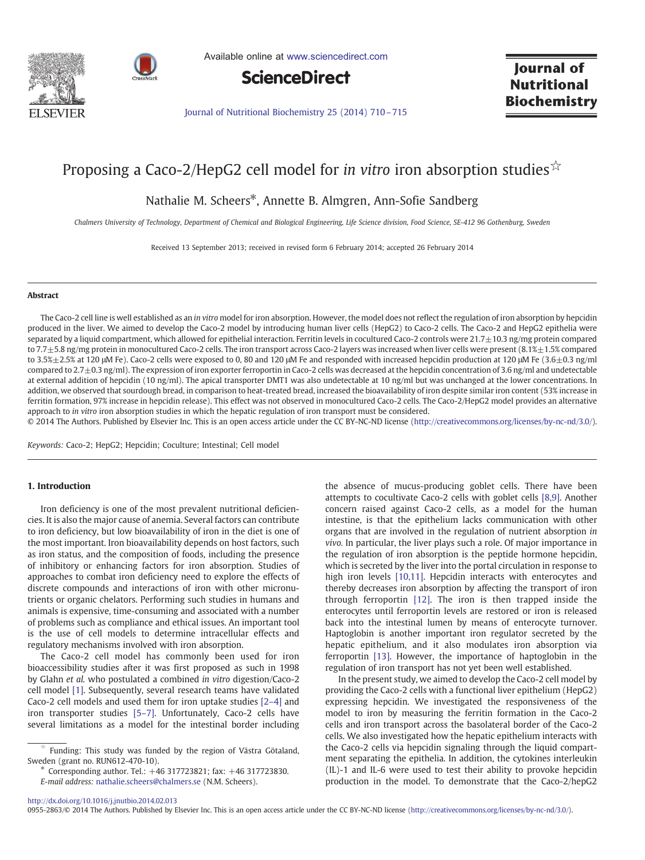



Available online at [www.sciencedirect.com](http://www.sciencedirect.com/science/journal/09552863)



Journal of **Nutritional Biochemistry** 

[Journal of Nutritional Biochemistry 25 \(2014\) 710](http://dx.doi.org/10.1016/j.jnutbio.2014.02.013)–715

# Proposing a Caco-2/HepG2 cell model for *in vitro* iron absorption studies  $\hat{X}$

Nathalie M. Scheers\*, Annette B. Almgren, Ann-Sofie Sandberg

Chalmers University of Technology, Department of Chemical and Biological Engineering, Life Science division, Food Science, SE-412 96 Gothenburg, Sweden

Received 13 September 2013; received in revised form 6 February 2014; accepted 26 February 2014

## Abstract

The Caco-2 cell line is well established as an in vitro model for iron absorption. However, the model does not reflect the regulation of iron absorption by hepcidin produced in the liver. We aimed to develop the Caco-2 model by introducing human liver cells (HepG2) to Caco-2 cells. The Caco-2 and HepG2 epithelia were separated by a liquid compartment, which allowed for epithelial interaction. Ferritin levels in cocultured Caco-2 controls were  $21.7\pm10.3$  ng/mg protein compared to 7.7 $\pm$ 5.8 ng/mg protein in monocultured Caco-2 cells. The iron transport across Caco-2 layers was increased when liver cells were present (8.1% $\pm$ 1.5% compared to 3.5%±2.5% at 120 μM Fe). Caco-2 cells were exposed to 0, 80 and 120 μM Fe and responded with increased hepcidin production at 120 μM Fe (3.6±0.3 ng/ml compared to  $2.7\pm0.3$  ng/ml). The expression of iron exporter ferroportin in Caco-2 cells was decreased at the hepcidin concentration of 3.6 ng/ml and undetectable at external addition of hepcidin (10 ng/ml). The apical transporter DMT1 was also undetectable at 10 ng/ml but was unchanged at the lower concentrations. In addition, we observed that sourdough bread, in comparison to heat-treated bread, increased the bioavailability of iron despite similar iron content (53% increase in ferritin formation, 97% increase in hepcidin release). This effect was not observed in monocultured Caco-2 cells. The Caco-2/HepG2 model provides an alternative approach to in vitro iron absorption studies in which the hepatic regulation of iron transport must be considered.

© 2014 The Authors. Published by Elsevier Inc. This is an open access article under the CC BY-NC-ND license (http://creativecommons.org/licenses/by-nc-nd/3.0/).

Keywords: Caco-2; HepG2; Hepcidin; Coculture; Intestinal; Cell model

## 1. Introduction

Iron deficiency is one of the most prevalent nutritional deficiencies. It is also the major cause of anemia. Several factors can contribute to iron deficiency, but low bioavailability of iron in the diet is one of the most important. Iron bioavailability depends on host factors, such as iron status, and the composition of foods, including the presence of inhibitory or enhancing factors for iron absorption. Studies of approaches to combat iron deficiency need to explore the effects of discrete compounds and interactions of iron with other micronutrients or organic chelators. Performing such studies in humans and animals is expensive, time-consuming and associated with a number of problems such as compliance and ethical issues. An important tool is the use of cell models to determine intracellular effects and regulatory mechanisms involved with iron absorption.

The Caco-2 cell model has commonly been used for iron bioaccessibility studies after it was first proposed as such in 1998 by Glahn et al. who postulated a combined in vitro digestion/Caco-2 cell model [\[1\].](#page-5-0) Subsequently, several research teams have validated Caco-2 cell models and used them for iron uptake studies [\[2](#page-5-0)–4] and iron transporter studies [\[5](#page-5-0)–7]. Unfortunately, Caco-2 cells have several limitations as a model for the intestinal border including

⁎ Corresponding author. Tel.: +46 317723821; fax: +46 317723830. E-mail address: [nathalie.scheers@chalmers.se](mailto:nathalie.scheers@chalmers.se) (N.M. Scheers).

the absence of mucus-producing goblet cells. There have been attempts to cocultivate Caco-2 cells with goblet cells [\[8,9\]](#page-5-0). Another concern raised against Caco-2 cells, as a model for the human intestine, is that the epithelium lacks communication with other organs that are involved in the regulation of nutrient absorption in vivo. In particular, the liver plays such a role. Of major importance in the regulation of iron absorption is the peptide hormone hepcidin, which is secreted by the liver into the portal circulation in response to high iron levels [\[10,11\].](#page-5-0) Hepcidin interacts with enterocytes and thereby decreases iron absorption by affecting the transport of iron through ferroportin [\[12\]](#page-5-0). The iron is then trapped inside the enterocytes until ferroportin levels are restored or iron is released back into the intestinal lumen by means of enterocyte turnover. Haptoglobin is another important iron regulator secreted by the hepatic epithelium, and it also modulates iron absorption via ferroportin [\[13\].](#page-5-0) However, the importance of haptoglobin in the regulation of iron transport has not yet been well established.

In the present study, we aimed to develop the Caco-2 cell model by providing the Caco-2 cells with a functional liver epithelium (HepG2) expressing hepcidin. We investigated the responsiveness of the model to iron by measuring the ferritin formation in the Caco-2 cells and iron transport across the basolateral border of the Caco-2 cells. We also investigated how the hepatic epithelium interacts with the Caco-2 cells via hepcidin signaling through the liquid compartment separating the epithelia. In addition, the cytokines interleukin (IL)-1 and IL-6 were used to test their ability to provoke hepcidin production in the model. To demonstrate that the Caco-2/hepG2

Funding: This study was funded by the region of Västra Götaland, Sweden (grant no. RUN612-470-10).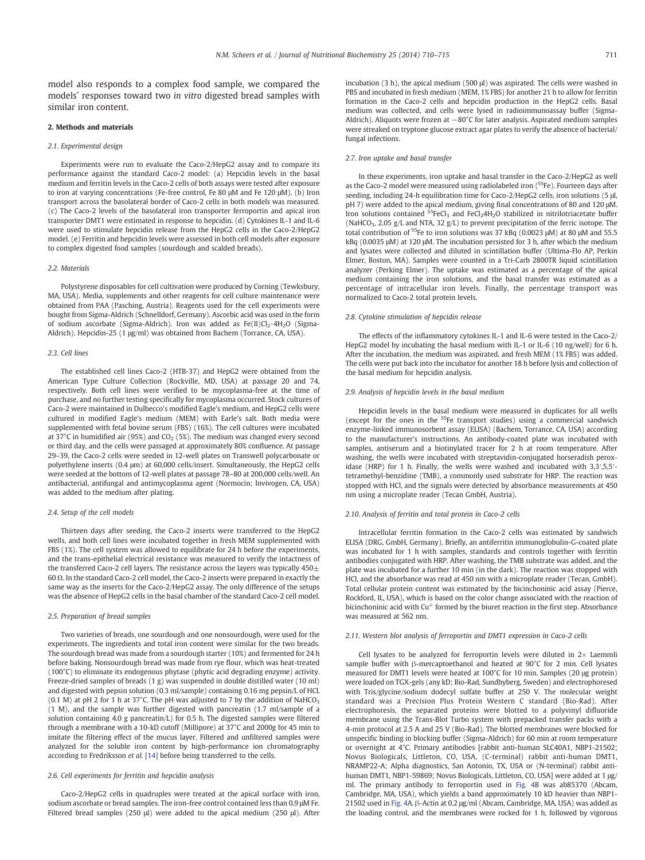model also responds to a complex food sample, we compared the models´ responses toward two in vitro digested bread samples with similar iron content.

#### 2. Methods and materials

#### 2.1. Experimental design

Experiments were run to evaluate the Caco-2/HepG2 assay and to compare its performance against the standard Caco-2 model: (a) Hepcidin levels in the basal medium and ferritin levels in the Caco-2 cells of both assays were tested after exposure to iron at varying concentrations (Fe-free control, Fe 80 μM and Fe 120 μM). (b) Iron transport across the basolateral border of Caco-2 cells in both models was measured. (c) The Caco-2 levels of the basolateral iron transporter ferroportin and apical iron transporter DMT1 were estimated in response to hepcidin. (d) Cytokines IL-1 and IL-6 were used to stimulate hepcidin release from the HepG2 cells in the Caco-2/HepG2 model. (e) Ferritin and hepcidin levels were assessed in both cell models after exposure to complex digested food samples (sourdough and scalded breads).

#### 2.2. Materials

Polystyrene disposables for cell cultivation were produced by Corning (Tewksbury, MA, USA). Media, supplements and other reagents for cell culture maintenance were obtained from PAA (Pasching, Austria). Reagents used for the cell experiments were bought from Sigma-Aldrich (Schnelldorf, Germany). Ascorbic acid was used in the form of sodium ascorbate (Sigma-Aldrich). Iron was added as  $Fe(II)Cl<sub>2</sub>·4H<sub>2</sub>O$  (Sigma-Aldrich). Hepcidin-25 (1 μg/ml) was obtained from Bachem (Torrance, CA, USA).

#### 2.3. Cell lines

The established cell lines Caco-2 (HTB-37) and HepG2 were obtained from the American Type Culture Collection (Rockville, MD, USA) at passage 20 and 74, respectively. Both cell lines were verified to be mycoplasma-free at the time of purchase, and no further testing specifically for mycoplasma occurred. Stock cultures of Caco-2 were maintained in Dulbecco's modified Eagle's medium, and HepG2 cells were cultured in modified Eagle's medium (MEM) with Earle's salt. Both media were supplemented with fetal bovine serum (FBS) (16%). The cell cultures were incubated at 37°C in humidified air (95%) and  $CO<sub>2</sub>$  (5%). The medium was changed every second or third day, and the cells were passaged at approximately 80% confluence. At passage 29–39, the Caco-2 cells were seeded in 12-well plates on Transwell polycarbonate or polyethylene inserts (0.4 μm) at 60,000 cells/insert. Simultaneously, the HepG2 cells were seeded at the bottom of 12-well plates at passage 78–80 at 200,000 cells/well. An antibacterial, antifungal and antimycoplasma agent (Normocin; Invivogen, CA, USA) was added to the medium after plating.

## 2.4. Setup of the cell models

Thirteen days after seeding, the Caco-2 inserts were transferred to the HepG2 wells, and both cell lines were incubated together in fresh MEM supplemented with FBS (1%). The cell system was allowed to equilibrate for 24 h before the experiments, and the trans-epithelial electrical resistance was measured to verify the intactness of the transferred Caco-2 cell layers. The resistance across the layers was typically  $450+$ 60 Ω. In the standard Caco-2 cell model, the Caco-2 inserts were prepared in exactly the same way as the inserts for the Caco-2/HepG2 assay. The only difference of the setups was the absence of HepG2 cells in the basal chamber of the standard Caco-2 cell model.

#### 2.5. Preparation of bread samples

Two varieties of breads, one sourdough and one nonsourdough, were used for the experiments. The ingredients and total iron content were similar for the two breads. The sourdough bread was made from a sourdough starter (10%) and fermented for 24 h before baking. Nonsourdough bread was made from rye flour, which was heat-treated (100°C) to eliminate its endogenous phytase (phytic acid degrading enzyme) activity. Freeze-dried samples of breads (1 g) was suspended in double distilled water (10 ml) and digested with pepsin solution (0.3 ml/sample) containing 0.16 mg pepsin/L of HCL (0.1 M) at pH 2 for 1 h at 37°C. The pH was adjusted to 7 by the addition of NaHCO<sub>3</sub> (1 M), and the sample was further digested with pancreatin (1.7 ml/sample of a solution containing 4.0 g pancreatin/L) for 0.5 h. The digested samples were filtered through a membrane with a 10-kD cutoff (Millipore) at 37°C and 2000g for 45 min to imitate the filtering effect of the mucus layer. Filtered and unfiltered samples were analyzed for the soluble iron content by high-performance ion chromatography according to Fredriksson et al. [\[14\]](#page-5-0) before being transferred to the cells.

# 2.6. Cell experiments for ferritin and hepcidin analysis

Caco-2/HepG2 cells in quadruples were treated at the apical surface with iron, sodium ascorbate or bread samples. The iron-free control contained less than 0.9 μM Fe. Filtered bread samples (250 μl) were added to the apical medium (250 μl). After incubation (3 h), the apical medium (500 μl) was aspirated. The cells were washed in PBS and incubated in fresh medium (MEM, 1% FBS) for another 21 h to allow for ferritin formation in the Caco-2 cells and hepcidin production in the HepG2 cells. Basal medium was collected, and cells were lysed in radioimmunoassay buffer (Sigma-Aldrich). Aliquots were frozen at −80°C for later analysis. Aspirated medium samples were streaked on tryptone glucose extract agar plates to verify the absence of bacterial/ fungal infections.

#### 2.7. Iron uptake and basal transfer

In these experiments, iron uptake and basal transfer in the Caco-2/HepG2 as well as the Caco-2 model were measured using radiolabeled iron (<sup>55</sup>Fe). Fourteen days after seeding, including 24-h equilibration time for Caco-2/HepG2 cells, iron solutions (5 μl, pH 7) were added to the apical medium, giving final concentrations of 80 and 120 μM. Iron solutions contained  ${}^{55}$ FeCl<sub>3</sub> and FeCl<sub>2</sub>4H<sub>2</sub>O stabilized in nitrilotriacetate buffer (NaHCO<sub>3</sub>, 2.05 g/L and NTA, 32 g/L) to prevent precipitation of the ferric isotope. The total contribution of 55Fe to iron solutions was 37 kBq (0.0023 μM) at 80 μM and 55.5 kBq (0.0035 μM) at 120 μM. The incubation persisted for 3 h, after which the medium and lysates were collected and diluted in scintillation buffer (Ultima-Flo AP, Perkin Elmer, Boston, MA). Samples were counted in a Tri-Carb 2800TR liquid scintillation analyzer (Perking Elmer). The uptake was estimated as a percentage of the apical medium containing the iron solutions, and the basal transfer was estimated as a percentage of intracellular iron levels. Finally, the percentage transport was normalized to Caco-2 total protein levels.

#### 2.8. Cytokine stimulation of hepcidin release

The effects of the inflammatory cytokines IL-1 and IL-6 were tested in the Caco-2/ HepG2 model by incubating the basal medium with IL-1 or IL-6 (10 ng/well) for 6 h. After the incubation, the medium was aspirated, and fresh MEM (1% FBS) was added. The cells were put back into the incubator for another 18 h before lysis and collection of the basal medium for hepcidin analysis.

## 2.9. Analysis of hepcidin levels in the basal medium

Hepcidin levels in the basal medium were measured in duplicates for all wells (except for the ones in the 55Fe transport studies) using a commercial sandwich enzyme-linked immunosorbent assay (ELISA) (Bachem, Torrance, CA, USA) according to the manufacturer's instructions. An antibody-coated plate was incubated with samples, antiserum and a biotinylated tracer for 2 h at room temperature. After washing, the wells were incubated with streptavidin-conjugated horseradish peroxidase (HRP) for 1 h. Finally, the wells were washed and incubated with 3,3',5,5'tetramethyl-benzidine (TMB), a commonly used substrate for HRP. The reaction was stopped with HCl, and the signals were detected by absorbance measurements at 450 nm using a microplate reader (Tecan GmbH, Austria).

#### 2.10. Analysis of ferritin and total protein in Caco-2 cells

Intracellular ferritin formation in the Caco-2 cells was estimated by sandwich ELISA (DRG, GmbH, Germany). Briefly, an antiferritin immunoglobulin-G-coated plate was incubated for 1 h with samples, standards and controls together with ferritin antibodies conjugated with HRP. After washing, the TMB substrate was added, and the plate was incubated for a further 10 min (in the dark). The reaction was stopped with HCl, and the absorbance was read at 450 nm with a microplate reader (Tecan, GmbH). Total cellular protein content was estimated by the bicinchoninic acid assay (Pierce, Rockford, IL, USA), which is based on the color change associated with the reaction of bicinchoninic acid with Cu<sup>+</sup> formed by the biuret reaction in the first step. Absorbance was measured at 562 nm.

#### 2.11. Western blot analysis of ferroportin and DMT1 expression in Caco-2 cells

Cell lysates to be analyzed for ferroportin levels were diluted in  $2\times$  Laemmli sample buffer with β-mercaptoethanol and heated at 90°C for 2 min. Cell lysates measured for DMT1 levels were heated at 100°C for 10 min. Samples (20 μg protein) were loaded on TGX-gels (any kD; Bio-Rad, Sundbyberg, Sweden) and electrophoresed with Tris/glycine/sodium dodecyl sulfate buffer at 250 V. The molecular weight standard was a Precision Plus Protein Western C standard (Bio-Rad). After electrophoresis, the separated proteins were blotted to a polyvinyl difluoride membrane using the Trans-Blot Turbo system with prepacked transfer packs with a 4-min protocol at 2.5 A and 25 V (Bio-Rad). The blotted membranes were blocked for unspecific binding in blocking buffer (Sigma-Aldrich) for 60 min at room temperature or overnight at 4°C. Primary antibodies [rabbit anti-human SLC40A1, NBP1-21502; Novus Biologicals, Littleton, CO, USA, (C-terminal) rabbit anti-human DMT1, NRAMP22-A; Alpha diagnostics, San Antonio, TX, USA or (N-terminal) rabbit antihuman DMT1, NBP1-59869; Novus Biologicals, Littleton, CO, USA] were added at 1 μg/ ml. The primary antibody to ferroportin used in [Fig. 4B](#page-3-0) was ab85370 (Abcam, Cambridge, MA, USA), which yields a band approximately 10 kD heavier than NBP1- 21502 used in [Fig. 4](#page-3-0)A. β-Actin at 0.2 μg/ml (Abcam, Cambridge, MA, USA) was added as the loading control, and the membranes were rocked for 1 h, followed by vigorous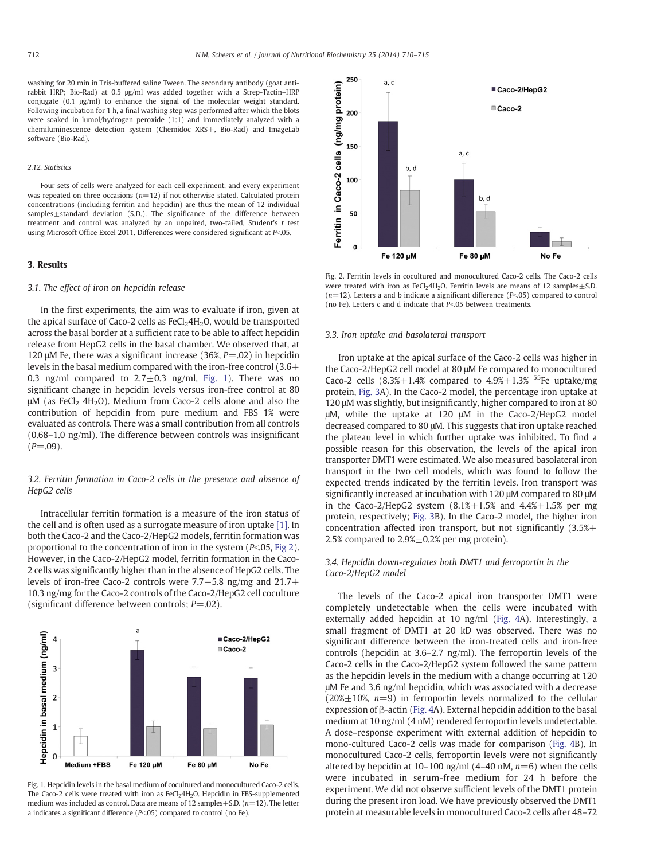washing for 20 min in Tris-buffered saline Tween. The secondary antibody (goat antirabbit HRP; Bio-Rad) at 0.5 μg/ml was added together with a Strep-Tactin–HRP conjugate (0.1 μg/ml) to enhance the signal of the molecular weight standard. Following incubation for 1 h, a final washing step was performed after which the blots were soaked in lumol/hydrogen peroxide (1:1) and immediately analyzed with a chemiluminescence detection system (Chemidoc XRS+, Bio-Rad) and ImageLab software (Bio-Rad).

#### 2.12. Statistics

Four sets of cells were analyzed for each cell experiment, and every experiment was repeated on three occasions  $(n=12)$  if not otherwise stated. Calculated protein concentrations (including ferritin and hepcidin) are thus the mean of 12 individual samples±standard deviation (S.D.). The significance of the difference between treatment and control was analyzed by an unpaired, two-tailed, Student's t test using Microsoft Office Excel 2011. Differences were considered significant at  $P<.05$ .

# 3. Results

# 3.1. The effect of iron on hepcidin release

In the first experiments, the aim was to evaluate if iron, given at the apical surface of Caco-2 cells as  $FeCl<sub>2</sub>4H<sub>2</sub>O$ , would be transported across the basal border at a sufficient rate to be able to affect hepcidin release from HepG2 cells in the basal chamber. We observed that, at 120 μM Fe, there was a significant increase (36%,  $P = .02$ ) in hepcidin levels in the basal medium compared with the iron-free control  $(3.6\pm$ 0.3 ng/ml compared to  $2.7 \pm 0.3$  ng/ml, Fig. 1). There was no significant change in hepcidin levels versus iron-free control at 80 μM (as FeCl<sub>2</sub> 4H<sub>2</sub>O). Medium from Caco-2 cells alone and also the contribution of hepcidin from pure medium and FBS 1% were evaluated as controls. There was a small contribution from all controls (0.68–1.0 ng/ml). The difference between controls was insignificant  $(P = .09)$ .

# 3.2. Ferritin formation in Caco-2 cells in the presence and absence of HepG2 cells

Intracellular ferritin formation is a measure of the iron status of the cell and is often used as a surrogate measure of iron uptake [\[1\].](#page-5-0) In both the Caco-2 and the Caco-2/HepG2 models, ferritin formation was proportional to the concentration of iron in the system ( $P<$ ,05, Fig 2). However, in the Caco-2/HepG2 model, ferritin formation in the Caco-2 cells was significantly higher than in the absence of HepG2 cells. The levels of iron-free Caco-2 controls were  $7.7\pm5.8$  ng/mg and  $21.7\pm$ 10.3 ng/mg for the Caco-2 controls of the Caco-2/HepG2 cell coculture (significant difference between controls;  $P = .02$ ).



Fig. 1. Hepcidin levels in the basal medium of cocultured and monocultured Caco-2 cells. The Caco-2 cells were treated with iron as FeCl<sub>2</sub>4H<sub>2</sub>O. Hepcidin in FBS-supplemented medium was included as control. Data are means of 12 samples $\pm$ S.D. ( $n=12$ ). The letter a indicates a significant difference  $(P<.05)$  compared to control (no Fe).



Fig. 2. Ferritin levels in cocultured and monocultured Caco-2 cells. The Caco-2 cells were treated with iron as FeCl<sub>2</sub>4H<sub>2</sub>O. Ferritin levels are means of 12 samples $\pm$ S.D.  $(n=12)$ . Letters a and b indicate a significant difference ( $P<0.05$ ) compared to control (no Fe). Letters c and d indicate that  $P<0.05$  between treatments.

## 3.3. Iron uptake and basolateral transport

Iron uptake at the apical surface of the Caco-2 cells was higher in the Caco-2/HepG2 cell model at 80 μM Fe compared to monocultured Caco-2 cells  $(8.3% \pm 1.4%$  compared to  $4.9% \pm 1.3%$  <sup>55</sup>Fe uptake/mg protein, [Fig. 3A](#page-3-0)). In the Caco-2 model, the percentage iron uptake at 120 μM was slightly, but insignificantly, higher compared to iron at 80 μM, while the uptake at 120 μM in the Caco-2/HepG2 model decreased compared to 80 μM. This suggests that iron uptake reached the plateau level in which further uptake was inhibited. To find a possible reason for this observation, the levels of the apical iron transporter DMT1 were estimated. We also measured basolateral iron transport in the two cell models, which was found to follow the expected trends indicated by the ferritin levels. Iron transport was significantly increased at incubation with 120 μM compared to 80 μM in the Caco-2/HepG2 system  $(8.1% \pm 1.5%$  and  $4.4% \pm 1.5%$  per mg protein, respectively; [Fig. 3](#page-3-0)B). In the Caco-2 model, the higher iron concentration affected iron transport, but not significantly  $(3.5% \pm$ 2.5% compared to  $2.9\% \pm 0.2\%$  per mg protein).

# 3.4. Hepcidin down-regulates both DMT1 and ferroportin in the Caco-2/HepG2 model

The levels of the Caco-2 apical iron transporter DMT1 were completely undetectable when the cells were incubated with externally added hepcidin at 10 ng/ml [\(Fig. 4A](#page-3-0)). Interestingly, a small fragment of DMT1 at 20 kD was observed. There was no significant difference between the iron-treated cells and iron-free controls (hepcidin at 3.6–2.7 ng/ml). The ferroportin levels of the Caco-2 cells in the Caco-2/HepG2 system followed the same pattern as the hepcidin levels in the medium with a change occurring at 120 μM Fe and 3.6 ng/ml hepcidin, which was associated with a decrease (20% $\pm$ 10%, n=9) in ferroportin levels normalized to the cellular expression of β-actin ([Fig. 4](#page-3-0)A). External hepcidin addition to the basal medium at 10 ng/ml (4 nM) rendered ferroportin levels undetectable. A dose–response experiment with external addition of hepcidin to mono-cultured Caco-2 cells was made for comparison [\(Fig. 4](#page-3-0)B). In monocultured Caco-2 cells, ferroportin levels were not significantly altered by hepcidin at 10–100 ng/ml (4–40 nM,  $n=6$ ) when the cells were incubated in serum-free medium for 24 h before the experiment. We did not observe sufficient levels of the DMT1 protein during the present iron load. We have previously observed the DMT1 protein at measurable levels in monocultured Caco-2 cells after 48–72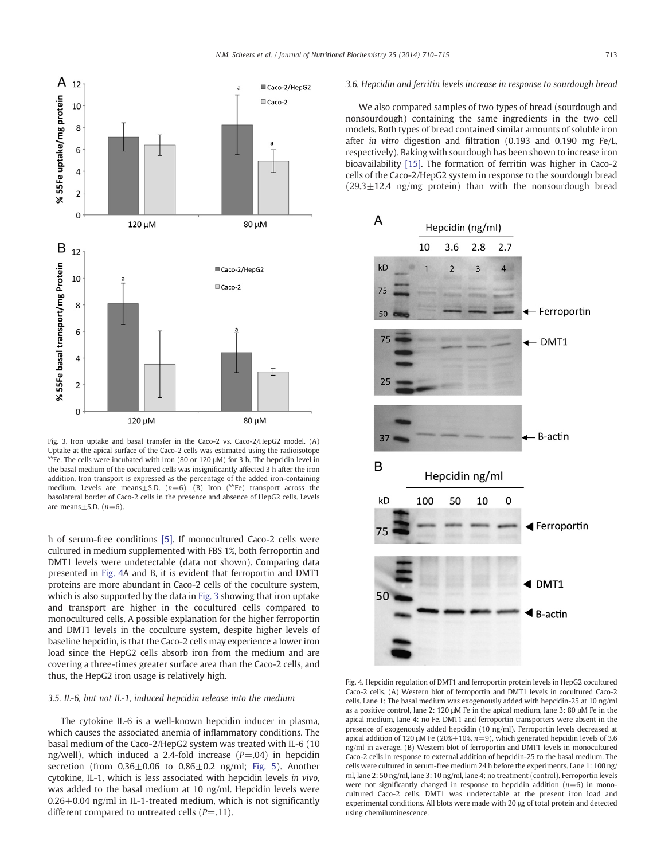<span id="page-3-0"></span>

Fig. 3. Iron uptake and basal transfer in the Caco-2 vs. Caco-2/HepG2 model. (A) Uptake at the apical surface of the Caco-2 cells was estimated using the radioisotope <sup>55</sup>Fe. The cells were incubated with iron (80 or 120  $\mu$ M) for 3 h. The hepcidin level in the basal medium of the cocultured cells was insignificantly affected 3 h after the iron addition. Iron transport is expressed as the percentage of the added iron-containing medium. Levels are means $\pm$ S.D. (n=6). (B) Iron (<sup>55</sup>Fe) transport across the basolateral border of Caco-2 cells in the presence and absence of HepG2 cells. Levels are means $\pm$ S.D. ( $n=6$ ).

h of serum-free conditions [\[5\].](#page-5-0) If monocultured Caco-2 cells were cultured in medium supplemented with FBS 1%, both ferroportin and DMT1 levels were undetectable (data not shown). Comparing data presented in Fig. 4A and B, it is evident that ferroportin and DMT1 proteins are more abundant in Caco-2 cells of the coculture system, which is also supported by the data in Fig. 3 showing that iron uptake and transport are higher in the cocultured cells compared to monocultured cells. A possible explanation for the higher ferroportin and DMT1 levels in the coculture system, despite higher levels of baseline hepcidin, is that the Caco-2 cells may experience a lower iron load since the HepG2 cells absorb iron from the medium and are covering a three-times greater surface area than the Caco-2 cells, and thus, the HepG2 iron usage is relatively high.

# 3.5. IL-6, but not IL-1, induced hepcidin release into the medium

The cytokine IL-6 is a well-known hepcidin inducer in plasma, which causes the associated anemia of inflammatory conditions. The basal medium of the Caco-2/HepG2 system was treated with IL-6 (10 ng/well), which induced a 2.4-fold increase  $(P=.04)$  in hepcidin secretion (from  $0.36\pm0.06$  to  $0.86\pm0.2$  ng/ml; [Fig. 5\)](#page-4-0). Another cytokine, IL-1, which is less associated with hepcidin levels in vivo, was added to the basal medium at 10 ng/ml. Hepcidin levels were  $0.26\pm0.04$  ng/ml in IL-1-treated medium, which is not significantly different compared to untreated cells  $(P=.11)$ .

# 3.6. Hepcidin and ferritin levels increase in response to sourdough bread

We also compared samples of two types of bread (sourdough and nonsourdough) containing the same ingredients in the two cell models. Both types of bread contained similar amounts of soluble iron after in vitro digestion and filtration (0.193 and 0.190 mg Fe/L, respectively). Baking with sourdough has been shown to increase iron bioavailability [\[15\].](#page-5-0) The formation of ferritin was higher in Caco-2 cells of the Caco-2/HepG2 system in response to the sourdough bread  $(29.3 \pm 12.4 \, \text{ng/mg} \, \text{protein})$  than with the nonsourdough bread



Fig. 4. Hepcidin regulation of DMT1 and ferroportin protein levels in HepG2 cocultured Caco-2 cells. (A) Western blot of ferroportin and DMT1 levels in cocultured Caco-2 cells. Lane 1: The basal medium was exogenously added with hepcidin-25 at 10 ng/ml as a positive control, lane 2: 120 μM Fe in the apical medium, lane 3: 80 μM Fe in the apical medium, lane 4: no Fe. DMT1 and ferroportin transporters were absent in the presence of exogenously added hepcidin (10 ng/ml). Ferroportin levels decreased at apical addition of 120 μM Fe (20% $\pm$ 10%, n=9), which generated hepcidin levels of 3.6 ng/ml in average. (B) Western blot of ferroportin and DMT1 levels in monocultured Caco-2 cells in response to external addition of hepcidin-25 to the basal medium. The cells were cultured in serum-free medium 24 h before the experiments. Lane 1: 100 ng/ ml, lane 2: 50 ng/ml, lane 3: 10 ng/ml, lane 4: no treatment (control). Ferroportin levels were not significantly changed in response to hepcidin addition  $(n=6)$  in monocultured Caco-2 cells. DMT1 was undetectable at the present iron load and experimental conditions. All blots were made with 20 μg of total protein and detected using chemiluminescence.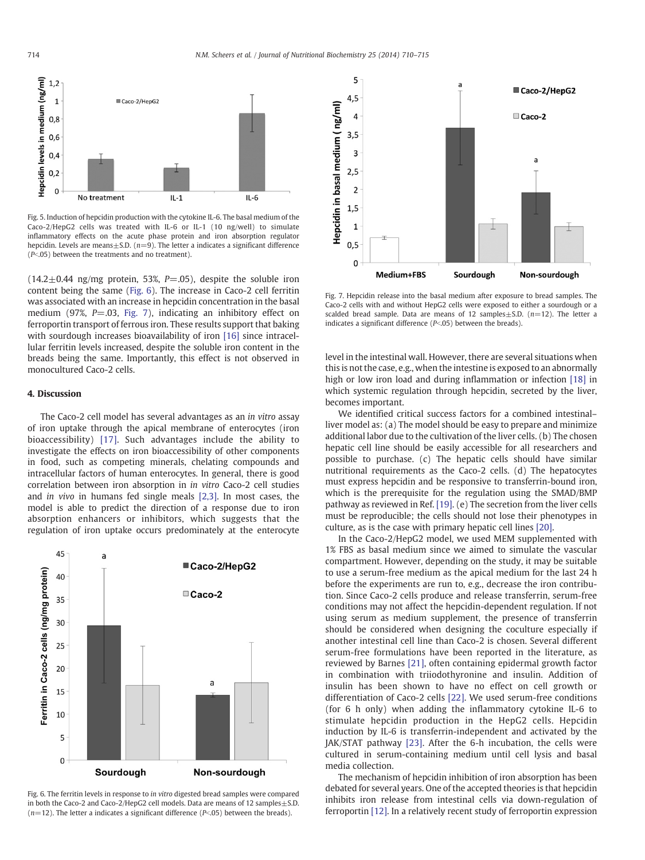<span id="page-4-0"></span>

Fig. 5. Induction of hepcidin production with the cytokine IL-6. The basal medium of the Caco-2/HepG2 cells was treated with IL-6 or IL-1 (10 ng/well) to simulate inflammatory effects on the acute phase protein and iron absorption regulator hepcidin. Levels are means $\pm$ S.D. ( $n=9$ ). The letter a indicates a significant difference  $(P<.05)$  between the treatments and no treatment).

 $(14.2 \pm 0.44 \text{ ng/mg protein}, 53\%, P = .05)$ , despite the soluble iron content being the same (Fig. 6). The increase in Caco-2 cell ferritin was associated with an increase in hepcidin concentration in the basal medium (97%,  $P = .03$ , Fig. 7), indicating an inhibitory effect on ferroportin transport of ferrous iron. These results support that baking with sourdough increases bioavailability of iron [\[16\]](#page-5-0) since intracellular ferritin levels increased, despite the soluble iron content in the breads being the same. Importantly, this effect is not observed in monocultured Caco-2 cells.

## 4. Discussion

The Caco-2 cell model has several advantages as an in vitro assay of iron uptake through the apical membrane of enterocytes (iron bioaccessibility) [\[17\].](#page-5-0) Such advantages include the ability to investigate the effects on iron bioaccessibility of other components in food, such as competing minerals, chelating compounds and intracellular factors of human enterocytes. In general, there is good correlation between iron absorption in in vitro Caco-2 cell studies and in vivo in humans fed single meals [\[2,3\].](#page-5-0) In most cases, the model is able to predict the direction of a response due to iron absorption enhancers or inhibitors, which suggests that the regulation of iron uptake occurs predominately at the enterocyte



Fig. 6. The ferritin levels in response to in vitro digested bread samples were compared in both the Caco-2 and Caco-2/HepG2 cell models. Data are means of 12 samples $+$  S.D.  $(n=12)$ . The letter a indicates a significant difference  $(P<0.05)$  between the breads).



Fig. 7. Hepcidin release into the basal medium after exposure to bread samples. The Caco-2 cells with and without HepG2 cells were exposed to either a sourdough or a scalded bread sample. Data are means of 12 samples $\pm$ S.D. (n=12). The letter a indicates a significant difference ( $P<$ .05) between the breads).

level in the intestinal wall. However, there are several situations when this is not the case, e.g., when the intestine is exposed to an abnormally high or low iron load and during inflammation or infection [\[18\]](#page-5-0) in which systemic regulation through hepcidin, secreted by the liver, becomes important.

We identified critical success factors for a combined intestinal– liver model as: (a) The model should be easy to prepare and minimize additional labor due to the cultivation of the liver cells. (b) The chosen hepatic cell line should be easily accessible for all researchers and possible to purchase. (c) The hepatic cells should have similar nutritional requirements as the Caco-2 cells. (d) The hepatocytes must express hepcidin and be responsive to transferrin-bound iron, which is the prerequisite for the regulation using the SMAD/BMP pathway as reviewed in Ref. [\[19\]](#page-5-0). (e) The secretion from the liver cells must be reproducible; the cells should not lose their phenotypes in culture, as is the case with primary hepatic cell lines [\[20\]](#page-5-0).

In the Caco-2/HepG2 model, we used MEM supplemented with 1% FBS as basal medium since we aimed to simulate the vascular compartment. However, depending on the study, it may be suitable to use a serum-free medium as the apical medium for the last 24 h before the experiments are run to, e.g., decrease the iron contribution. Since Caco-2 cells produce and release transferrin, serum-free conditions may not affect the hepcidin-dependent regulation. If not using serum as medium supplement, the presence of transferrin should be considered when designing the coculture especially if another intestinal cell line than Caco-2 is chosen. Several different serum-free formulations have been reported in the literature, as reviewed by Barnes [\[21\],](#page-5-0) often containing epidermal growth factor in combination with triiodothyronine and insulin. Addition of insulin has been shown to have no effect on cell growth or differentiation of Caco-2 cells [\[22\].](#page-5-0) We used serum-free conditions (for 6 h only) when adding the inflammatory cytokine IL-6 to stimulate hepcidin production in the HepG2 cells. Hepcidin induction by IL-6 is transferrin-independent and activated by the JAK/STAT pathway [\[23\]](#page-5-0). After the 6-h incubation, the cells were cultured in serum-containing medium until cell lysis and basal media collection.

The mechanism of hepcidin inhibition of iron absorption has been debated for several years. One of the accepted theories is that hepcidin inhibits iron release from intestinal cells via down-regulation of ferroportin [\[12\]](#page-5-0). In a relatively recent study of ferroportin expression